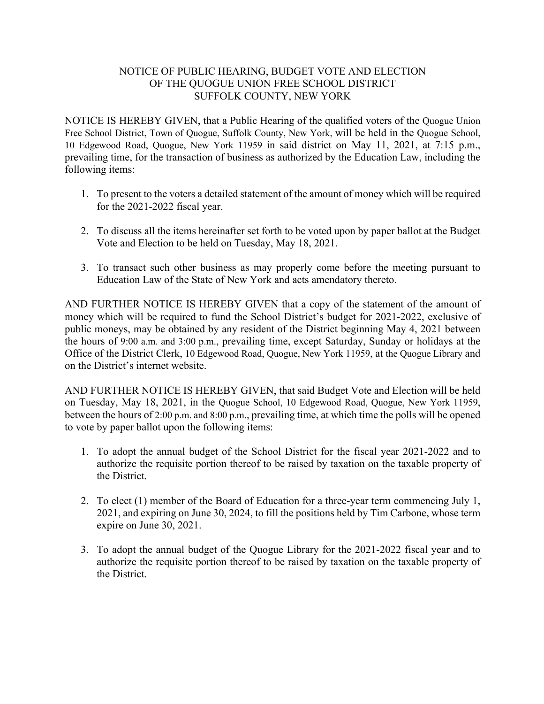## NOTICE OF PUBLIC HEARING, BUDGET VOTE AND ELECTION OF THE QUOGUE UNION FREE SCHOOL DISTRICT SUFFOLK COUNTY, NEW YORK

NOTICE IS HEREBY GIVEN, that a Public Hearing of the qualified voters of the Quogue Union Free School District, Town of Quogue, Suffolk County, New York, will be held in the Quogue School, 10 Edgewood Road, Quogue, New York 11959 in said district on May 11, 2021, at 7:15 p.m., prevailing time, for the transaction of business as authorized by the Education Law, including the following items:

- 1. To present to the voters a detailed statement of the amount of money which will be required for the 2021-2022 fiscal year.
- 2. To discuss all the items hereinafter set forth to be voted upon by paper ballot at the Budget Vote and Election to be held on Tuesday, May 18, 2021.
- 3. To transact such other business as may properly come before the meeting pursuant to Education Law of the State of New York and acts amendatory thereto.

AND FURTHER NOTICE IS HEREBY GIVEN that a copy of the statement of the amount of money which will be required to fund the School District's budget for 2021-2022, exclusive of public moneys, may be obtained by any resident of the District beginning May 4, 2021 between the hours of 9:00 a.m. and 3:00 p.m., prevailing time, except Saturday, Sunday or holidays at the Office of the District Clerk, 10 Edgewood Road, Quogue, New York 11959, at the Quogue Library and on the District's internet website.

AND FURTHER NOTICE IS HEREBY GIVEN, that said Budget Vote and Election will be held on Tuesday, May 18, 2021, in the Quogue School, 10 Edgewood Road, Quogue, New York 11959, between the hours of 2:00 p.m. and 8:00 p.m., prevailing time, at which time the polls will be opened to vote by paper ballot upon the following items:

- 1. To adopt the annual budget of the School District for the fiscal year 2021-2022 and to authorize the requisite portion thereof to be raised by taxation on the taxable property of the District.
- 2. To elect (1) member of the Board of Education for a three-year term commencing July 1, 2021, and expiring on June 30, 2024, to fill the positions held by Tim Carbone, whose term expire on June 30, 2021.
- 3. To adopt the annual budget of the Quogue Library for the 2021-2022 fiscal year and to authorize the requisite portion thereof to be raised by taxation on the taxable property of the District.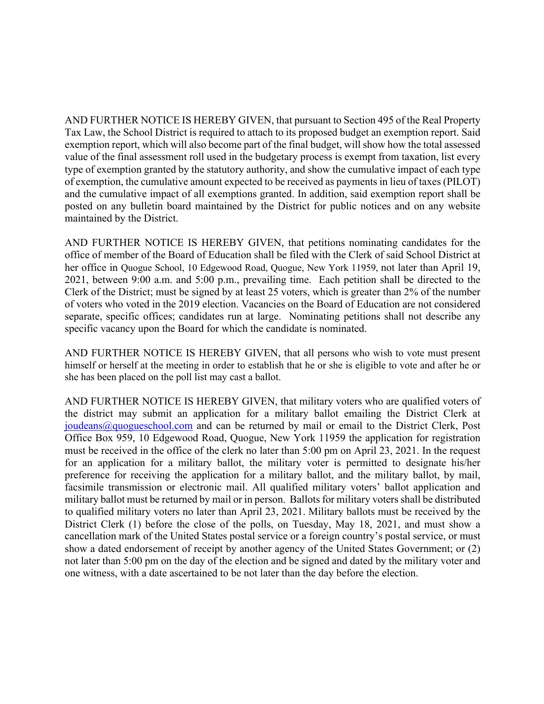AND FURTHER NOTICE IS HEREBY GIVEN, that pursuant to Section 495 of the Real Property Tax Law, the School District is required to attach to its proposed budget an exemption report. Said exemption report, which will also become part of the final budget, will show how the total assessed value of the final assessment roll used in the budgetary process is exempt from taxation, list every type of exemption granted by the statutory authority, and show the cumulative impact of each type of exemption, the cumulative amount expected to be received as payments in lieu of taxes (PILOT) and the cumulative impact of all exemptions granted. In addition, said exemption report shall be posted on any bulletin board maintained by the District for public notices and on any website maintained by the District.

AND FURTHER NOTICE IS HEREBY GIVEN, that petitions nominating candidates for the office of member of the Board of Education shall be filed with the Clerk of said School District at her office in Quogue School, 10 Edgewood Road, Quogue, New York 11959, not later than April 19, 2021, between 9:00 a.m. and 5:00 p.m., prevailing time. Each petition shall be directed to the Clerk of the District; must be signed by at least 25 voters, which is greater than 2% of the number of voters who voted in the 2019 election. Vacancies on the Board of Education are not considered separate, specific offices; candidates run at large. Nominating petitions shall not describe any specific vacancy upon the Board for which the candidate is nominated.

AND FURTHER NOTICE IS HEREBY GIVEN, that all persons who wish to vote must present himself or herself at the meeting in order to establish that he or she is eligible to vote and after he or she has been placed on the poll list may cast a ballot.

AND FURTHER NOTICE IS HEREBY GIVEN, that military voters who are qualified voters of the district may submit an application for a military ballot emailing the District Clerk at joudeans@quogueschool.com and can be returned by mail or email to the District Clerk, Post Office Box 959, 10 Edgewood Road, Quogue, New York 11959 the application for registration must be received in the office of the clerk no later than 5:00 pm on April 23, 2021. In the request for an application for a military ballot, the military voter is permitted to designate his/her preference for receiving the application for a military ballot, and the military ballot, by mail, facsimile transmission or electronic mail. All qualified military voters' ballot application and military ballot must be returned by mail or in person. Ballots for military voters shall be distributed to qualified military voters no later than April 23, 2021. Military ballots must be received by the District Clerk (1) before the close of the polls, on Tuesday, May 18, 2021, and must show a cancellation mark of the United States postal service or a foreign country's postal service, or must show a dated endorsement of receipt by another agency of the United States Government; or (2) not later than 5:00 pm on the day of the election and be signed and dated by the military voter and one witness, with a date ascertained to be not later than the day before the election.